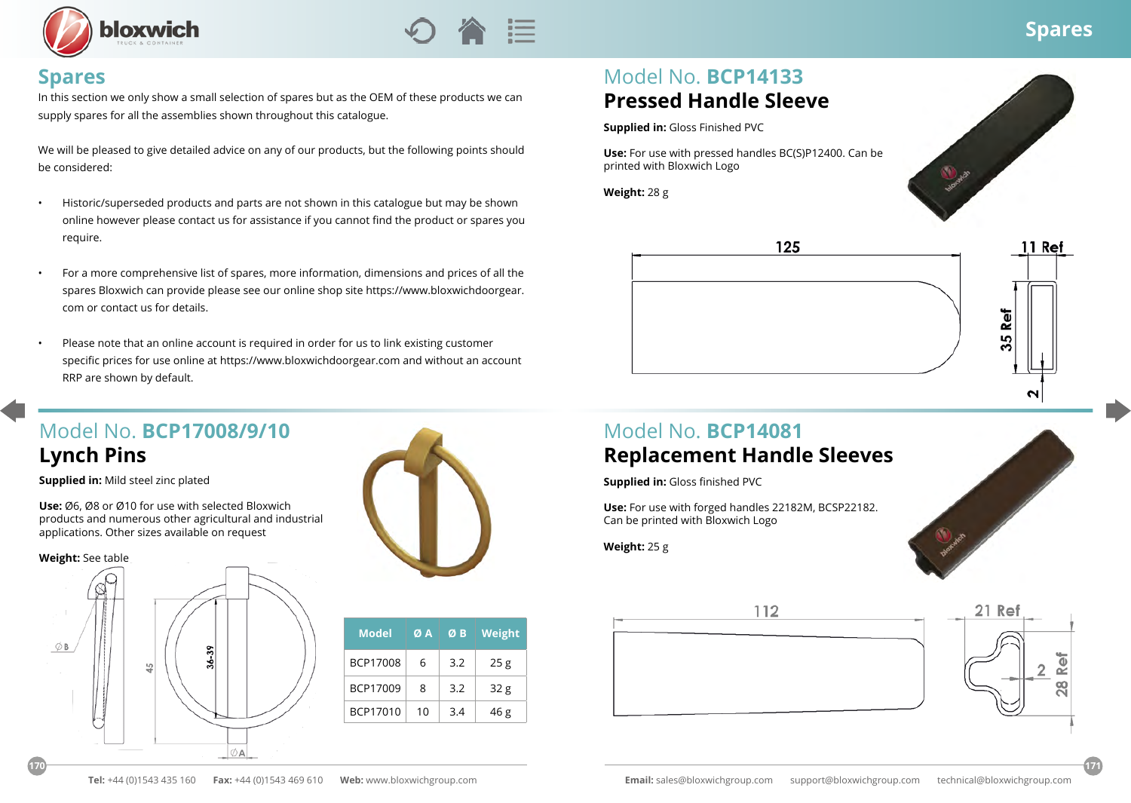



#### **Spares**

In this section we only show a small selection of spares but as the OEM of these products we can supply spares for all the assemblies shown throughout this catalogue.

We will be pleased to give detailed advice on any of our products, but the following points should be considered:

- Historic/superseded products and parts are not shown in this catalogue but may be shown online however please contact us for assistance if you cannot find the product or spares you require.
- For a more comprehensive list of spares, more information, dimensions and prices of all the spares Bloxwich can provide please see our online shop site https://www.bloxwichdoorgear. com or contact us for details.
- Please note that an online account is required in order for us to link existing customer specific prices for use online at https://www.bloxwichdoorgear.com and without an account RRP are shown by default.

## Model No. **BCP17008/9/10 Lynch Pins**

**Supplied in:** Mild steel zinc plated

**Use:** Ø6, Ø8 or Ø10 for use with selected Bloxwich products and numerous other agricultural and industrial applications. Other sizes available on request

**Weight:** See table





| <b>Model</b> | ØA. | ØB  | Weight          |
|--------------|-----|-----|-----------------|
| BCP17008     | 6   | 3.2 | 25g             |
| BCP17009     | 8   | 3.2 | 32 <sub>g</sub> |
| BCP17010     | 10  | 3.4 | 46 g            |

# Model No. **BCP14133 Pressed Handle Sleeve**

**Supplied in:** Gloss Finished PVC

**Use:** For use with pressed handles BC(S)P12400. Can be printed with Bloxwich Logo

**Weight:** 28 g





### Model No. **BCP14081 Replacement Handle Sleeves**

**Supplied in:** Gloss finished PVC

**Use:** For use with forged handles 22182M, BCSP22182. Can be printed with Bloxwich Logo

**Weight:** 25 g





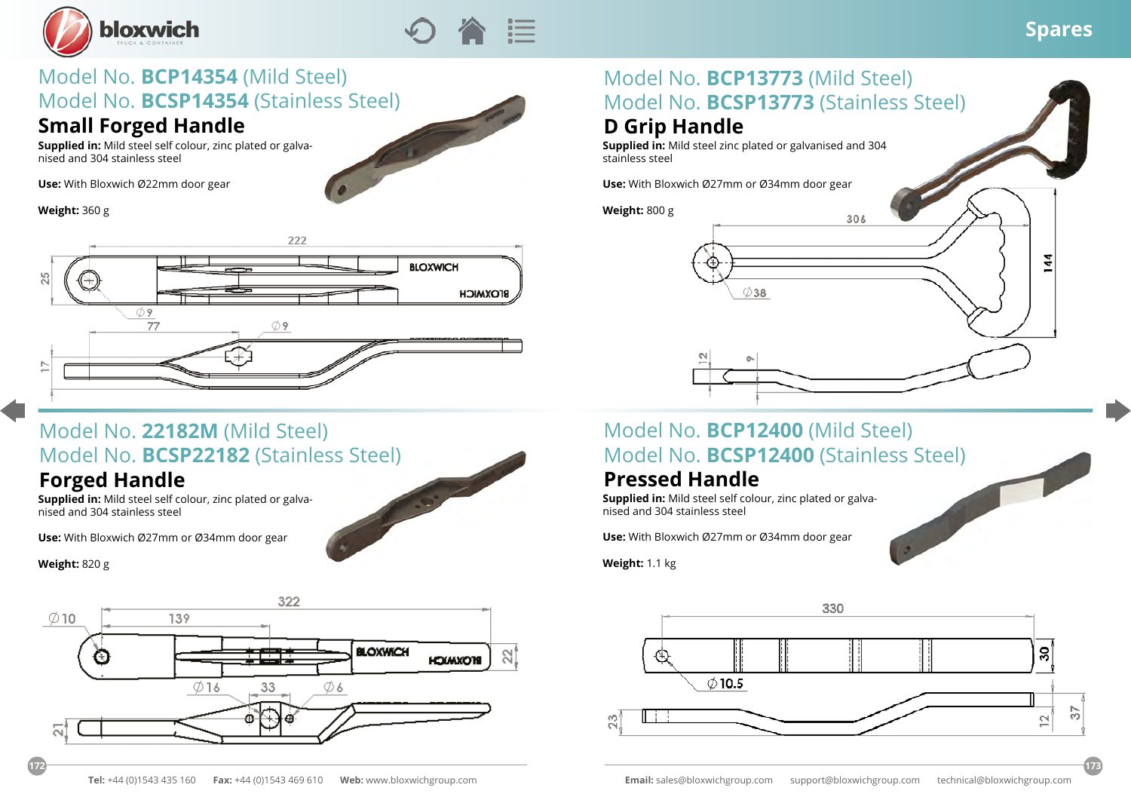



# Model No. **BCP14354** (Mild Steel) Model No. **BCSP14354** (Stainless Steel)

### **Small Forged Handle**

**Supplied in:** Mild steel self colour, zinc plated or galvanised and 304 stainless steel

**Use:** With Bloxwich Ø22mm door gear

**Weight:** 360 g



# Model No. **22182M** (Mild Steel) Model No. **BCSP22182** (Stainless Steel)

### **Forged Handle**

**Supplied in:** Mild steel self colour, zinc plated or galvanised and 304 stainless steel

**Use:** With Bloxwich Ø27mm or Ø34mm door gear

**Weight:** 820 g



### Model No. **BCP13773** (Mild Steel) Model No. **BCSP13773** (Stainless Steel) **D Grip Handle**

**Supplied in:** Mild steel zinc plated or galvanised and 304 stainless steel

**Use:** With Bloxwich Ø27mm or Ø34mm door gear

**Weight:** 800 g



### Model No. **BCP12400** (Mild Steel) Model No. **BCSP12400** (Stainless Steel)

### **Pressed Handle**

**Supplied in:** Mild steel self colour, zinc plated or galvanised and 304 stainless steel

**Use:** With Bloxwich Ø27mm or Ø34mm door gear

**Weight:** 1.1 kg